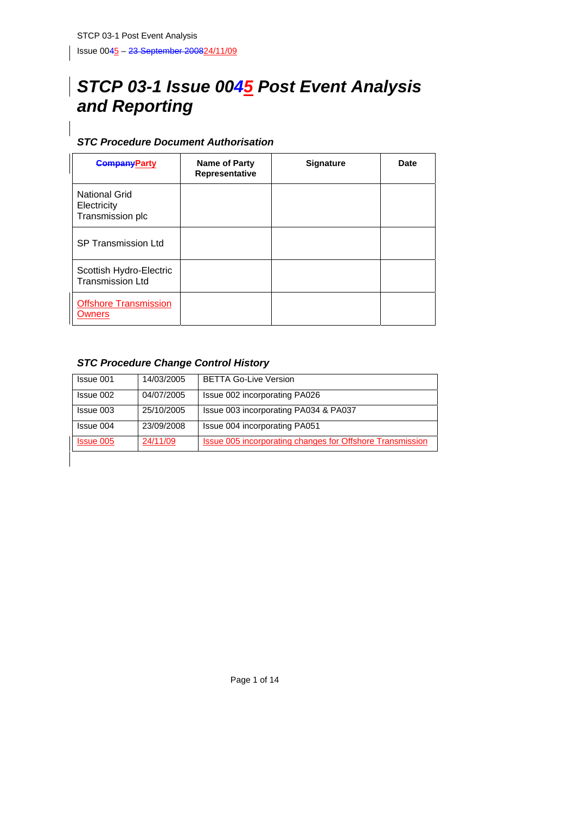## *STCP 03-1 Issue 0045 Post Event Analysis and Reporting*

## *STC Procedure Document Authorisation*

| <b>CompanyParty</b>                                | Name of Party<br>Representative | <b>Signature</b> | Date |
|----------------------------------------------------|---------------------------------|------------------|------|
| National Grid<br>Electricity<br>Transmission plc   |                                 |                  |      |
| <b>SP Transmission Ltd</b>                         |                                 |                  |      |
| Scottish Hydro-Electric<br><b>Transmission Ltd</b> |                                 |                  |      |
| <b>Offshore Transmission</b><br>Owners             |                                 |                  |      |

## *STC Procedure Change Control History*

| Issue 001        | 14/03/2005 | <b>BETTA Go-Live Version</b>                              |
|------------------|------------|-----------------------------------------------------------|
| Issue 002        | 04/07/2005 | Issue 002 incorporating PA026                             |
| Issue 003        | 25/10/2005 | Issue 003 incorporating PA034 & PA037                     |
| Issue 004        | 23/09/2008 | <b>Issue 004 incorporating PA051</b>                      |
| <b>Issue 005</b> | 24/11/09   | Issue 005 incorporating changes for Offshore Transmission |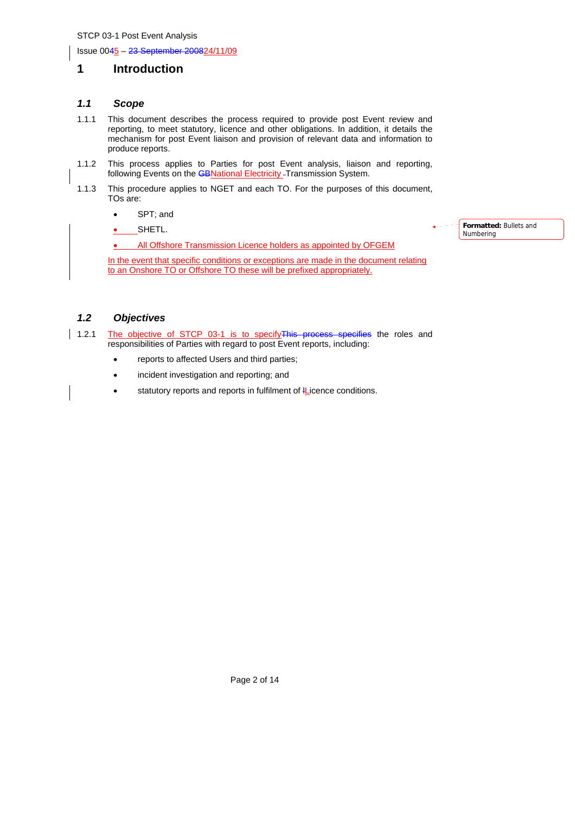Issue 0045 – 23 September 200824/11/09

## **1 Introduction**

## *1.1 Scope*

- 1.1.1 This document describes the process required to provide post Event review and reporting, to meet statutory, licence and other obligations. In addition, it details the mechanism for post Event liaison and provision of relevant data and information to produce reports.
- 1.1.2 This process applies to Parties for post Event analysis, liaison and reporting, following Events on the **GBNational Electricity** - Transmission System.
- 1.1.3 This procedure applies to NGET and each TO. For the purposes of this document, TOs are:
	- SPT; and
	- SHETL.

• All Offshore Transmission Licence holders as appointed by OFGEM

In the event that specific conditions or exceptions are made in the document relating to an Onshore TO or Offshore TO these will be prefixed appropriately.

# *1.2 Objectives*

- 1.2.1 The objective of STCP 03-1 is to specify This process specifies the roles and responsibilities of Parties with regard to post Event reports, including:
	- reports to affected Users and third parties;
	- incident investigation and reporting; and
	- statutory reports and reports in fulfilment of *IL*icence conditions.

**Formatted:** Bullets and Numbering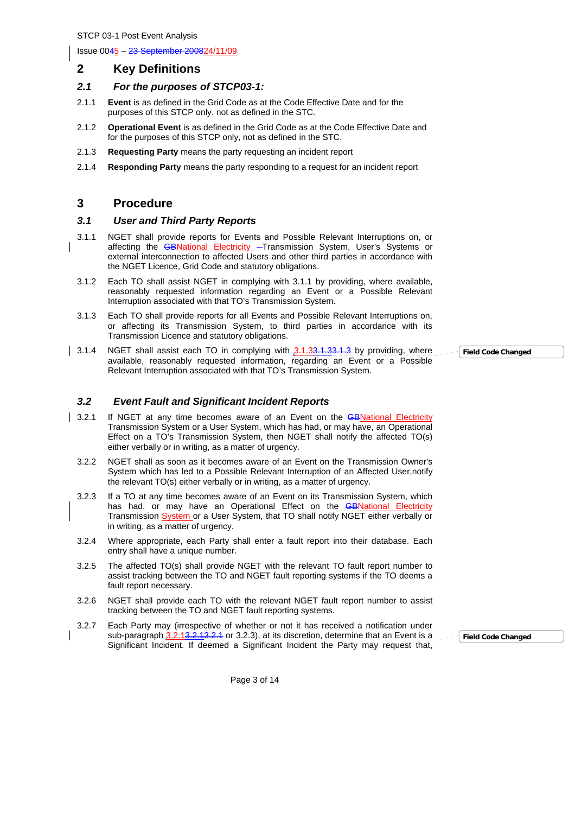Issue 0045 – 23 September 200824/11/09

## **2 Key Definitions**

## *2.1 For the purposes of STCP03-1:*

- 2.1.1 **Event** is as defined in the Grid Code as at the Code Effective Date and for the purposes of this STCP only, not as defined in the STC.
- 2.1.2 **Operational Event** is as defined in the Grid Code as at the Code Effective Date and for the purposes of this STCP only, not as defined in the STC.
- 2.1.3 **Requesting Party** means the party requesting an incident report
- 2.1.4 **Responding Party** means the party responding to a request for an incident report

## **3 Procedure**

#### *3.1 User and Third Party Reports*

- 3.1.1 NGET shall provide reports for Events and Possible Relevant Interruptions on, or affecting the **GBNational Electricity** - Transmission System, User's Systems or external interconnection to affected Users and other third parties in accordance with the NGET Licence, Grid Code and statutory obligations.
- 3.1.2 Each TO shall assist NGET in complying with 3.1.1 by providing, where available, reasonably requested information regarding an Event or a Possible Relevant Interruption associated with that TO's Transmission System.
- 3.1.3 Each TO shall provide reports for all Events and Possible Relevant Interruptions on, or affecting its Transmission System, to third parties in accordance with its Transmission Licence and statutory obligations.
- 3.1.4 NGET shall assist each TO in complying with 3.1.33.1.33.1.3 by providing, where available, reasonably requested information, regarding an Event or a Possible Relevant Interruption associated with that TO's Transmission System.

#### *3.2 Event Fault and Significant Incident Reports*

- 3.2.1 If NGET at any time becomes aware of an Event on the **GBNational Electricity** Transmission System or a User System, which has had, or may have, an Operational Effect on a TO's Transmission System, then NGET shall notify the affected TO(s) either verbally or in writing, as a matter of urgency.
	- 3.2.2 NGET shall as soon as it becomes aware of an Event on the Transmission Owner's System which has led to a Possible Relevant Interruption of an Affected User,notify the relevant TO(s) either verbally or in writing, as a matter of urgency.
	- 3.2.3 If a TO at any time becomes aware of an Event on its Transmission System, which has had, or may have an Operational Effect on the GBNational Electricity Transmission System or a User System, that TO shall notify NGET either verbally or in writing, as a matter of urgency.
	- 3.2.4 Where appropriate, each Party shall enter a fault report into their database. Each entry shall have a unique number.
	- 3.2.5 The affected TO(s) shall provide NGET with the relevant TO fault report number to assist tracking between the TO and NGET fault reporting systems if the TO deems a fault report necessary.
	- 3.2.6 NGET shall provide each TO with the relevant NGET fault report number to assist tracking between the TO and NGET fault reporting systems.
- 3.2.7 Each Party may (irrespective of whether or not it has received a notification under sub-paragraph 3.2.13.2.13.2.1 or 3.2.3), at its discretion, determine that an Event is a Significant Incident. If deemed a Significant Incident the Party may request that,

**Field Code Changed**

Page 3 of 14

**Field Code Changed**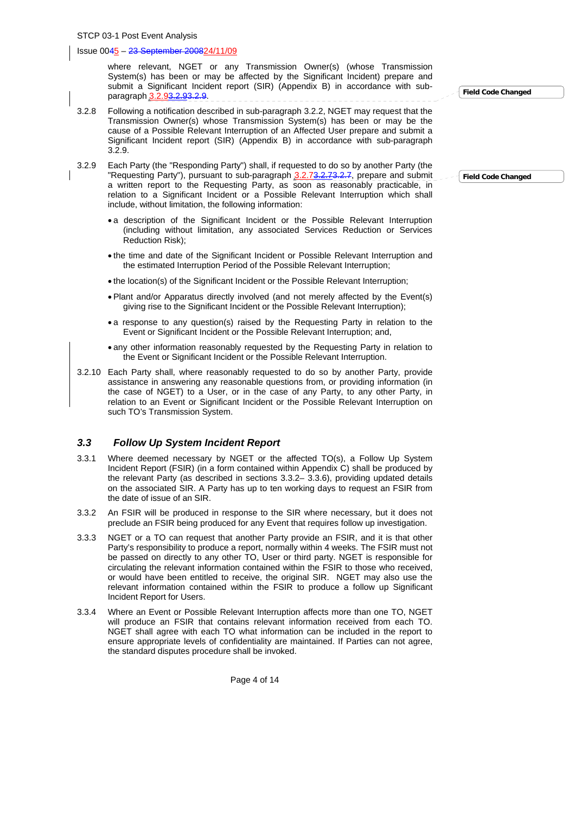where relevant, NGET or any Transmission Owner(s) (whose Transmission System(s) has been or may be affected by the Significant Incident) prepare and submit a Significant Incident report (SIR) (Appendix B) in accordance with subparagraph 3.2.93.2.93.2.9.

- 3.2.8 Following a notification described in sub-paragraph 3.2.2, NGET may request that the Transmission Owner(s) whose Transmission System(s) has been or may be the cause of a Possible Relevant Interruption of an Affected User prepare and submit a Significant Incident report (SIR) (Appendix B) in accordance with sub-paragraph 3.2.9.
- 3.2.9 Each Party (the "Responding Party") shall, if requested to do so by another Party (the "Requesting Party"), pursuant to sub-paragraph 3.2.73.2.73.2.7, prepare and submit a written report to the Requesting Party, as soon as reasonably practicable, in relation to a Significant Incident or a Possible Relevant Interruption which shall include, without limitation, the following information:
	- a description of the Significant Incident or the Possible Relevant Interruption (including without limitation, any associated Services Reduction or Services Reduction Risk);
	- the time and date of the Significant Incident or Possible Relevant Interruption and the estimated Interruption Period of the Possible Relevant Interruption;
	- the location(s) of the Significant Incident or the Possible Relevant Interruption;
	- Plant and/or Apparatus directly involved (and not merely affected by the Event(s) giving rise to the Significant Incident or the Possible Relevant Interruption);
	- a response to any question(s) raised by the Requesting Party in relation to the Event or Significant Incident or the Possible Relevant Interruption; and,
	- any other information reasonably requested by the Requesting Party in relation to the Event or Significant Incident or the Possible Relevant Interruption.
- 3.2.10 Each Party shall, where reasonably requested to do so by another Party, provide assistance in answering any reasonable questions from, or providing information (in the case of NGET) to a User, or in the case of any Party, to any other Party, in relation to an Event or Significant Incident or the Possible Relevant Interruption on such TO's Transmission System.

#### *3.3 Follow Up System Incident Report*

- 3.3.1 Where deemed necessary by NGET or the affected TO(s), a Follow Up System Incident Report (FSIR) (in a form contained within Appendix C) shall be produced by the relevant Party (as described in sections 3.3.2– 3.3.6), providing updated details on the associated SIR. A Party has up to ten working days to request an FSIR from the date of issue of an SIR.
- 3.3.2 An FSIR will be produced in response to the SIR where necessary, but it does not preclude an FSIR being produced for any Event that requires follow up investigation.
- 3.3.3 NGET or a TO can request that another Party provide an FSIR, and it is that other Party's responsibility to produce a report, normally within 4 weeks. The FSIR must not be passed on directly to any other TO, User or third party. NGET is responsible for circulating the relevant information contained within the FSIR to those who received, or would have been entitled to receive, the original SIR. NGET may also use the relevant information contained within the FSIR to produce a follow up Significant Incident Report for Users.
- 3.3.4 Where an Event or Possible Relevant Interruption affects more than one TO, NGET will produce an FSIR that contains relevant information received from each TO. NGET shall agree with each TO what information can be included in the report to ensure appropriate levels of confidentiality are maintained. If Parties can not agree, the standard disputes procedure shall be invoked.

Page 4 of 14

**Field Code Changed**

**Field Code Changed**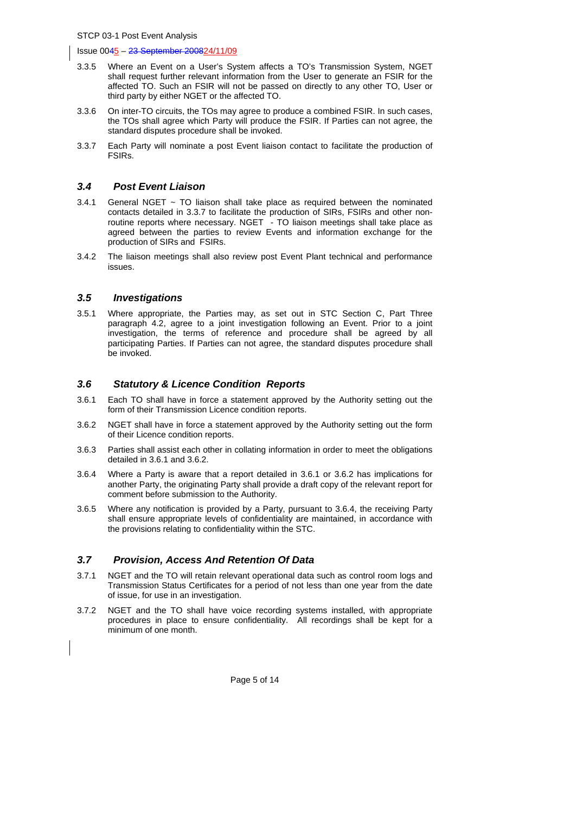- 3.3.5 Where an Event on a User's System affects a TO's Transmission System, NGET shall request further relevant information from the User to generate an FSIR for the affected TO. Such an FSIR will not be passed on directly to any other TO, User or third party by either NGET or the affected TO.
- 3.3.6 On inter-TO circuits, the TOs may agree to produce a combined FSIR. In such cases, the TOs shall agree which Party will produce the FSIR. If Parties can not agree, the standard disputes procedure shall be invoked.
- 3.3.7 Each Party will nominate a post Event liaison contact to facilitate the production of FSIRs.

#### *3.4 Post Event Liaison*

- 3.4.1 General NGET  $\sim$  TO liaison shall take place as required between the nominated contacts detailed in 3.3.7 to facilitate the production of SIRs, FSIRs and other nonroutine reports where necessary. NGET - TO liaison meetings shall take place as agreed between the parties to review Events and information exchange for the production of SIRs and FSIRs.
- 3.4.2 The liaison meetings shall also review post Event Plant technical and performance issues.

#### *3.5 Investigations*

3.5.1 Where appropriate, the Parties may, as set out in STC Section C, Part Three paragraph 4.2, agree to a joint investigation following an Event. Prior to a joint investigation, the terms of reference and procedure shall be agreed by all participating Parties. If Parties can not agree, the standard disputes procedure shall be invoked.

#### *3.6 Statutory & Licence Condition Reports*

- 3.6.1 Each TO shall have in force a statement approved by the Authority setting out the form of their Transmission Licence condition reports.
- 3.6.2 NGET shall have in force a statement approved by the Authority setting out the form of their Licence condition reports.
- 3.6.3 Parties shall assist each other in collating information in order to meet the obligations detailed in 3.6.1 and 3.6.2.
- 3.6.4 Where a Party is aware that a report detailed in 3.6.1 or 3.6.2 has implications for another Party, the originating Party shall provide a draft copy of the relevant report for comment before submission to the Authority.
- 3.6.5 Where any notification is provided by a Party, pursuant to 3.6.4, the receiving Party shall ensure appropriate levels of confidentiality are maintained, in accordance with the provisions relating to confidentiality within the STC.

#### *3.7 Provision, Access And Retention Of Data*

- 3.7.1 NGET and the TO will retain relevant operational data such as control room logs and Transmission Status Certificates for a period of not less than one year from the date of issue, for use in an investigation.
- 3.7.2 NGET and the TO shall have voice recording systems installed, with appropriate procedures in place to ensure confidentiality. All recordings shall be kept for a minimum of one month.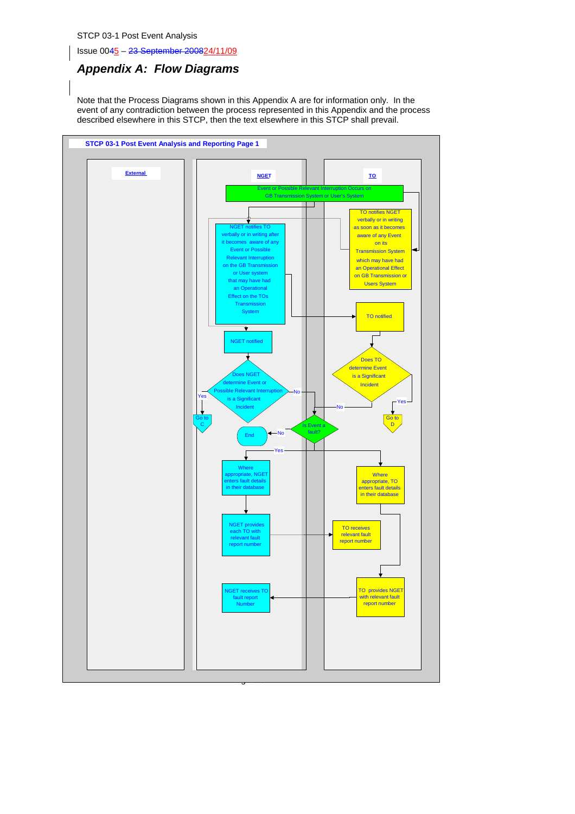Issue 0045 – 23 September 200824/11/09

## *Appendix A: Flow Diagrams*

Note that the Process Diagrams shown in this Appendix A are for information only. In the event of any contradiction between the process represented in this Appendix and the process described elsewhere in this STCP, then the text elsewhere in this STCP shall prevail.

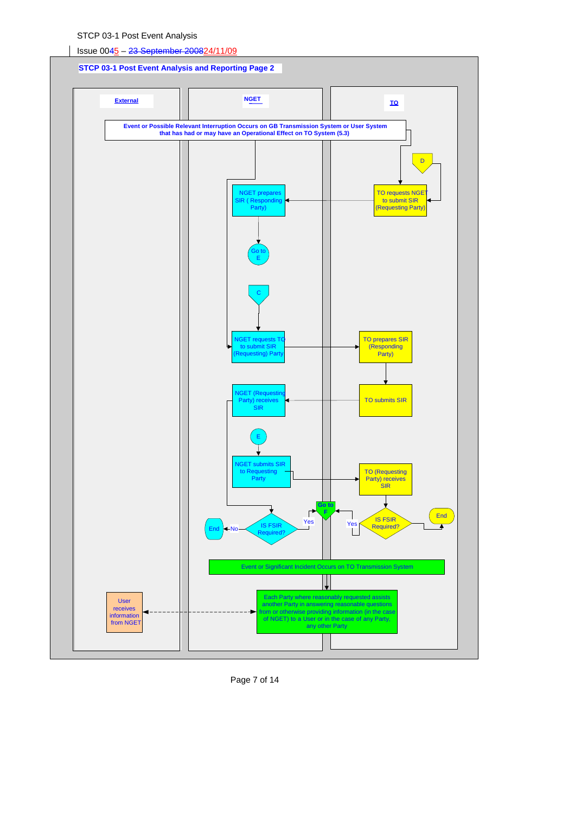

Page 7 of 14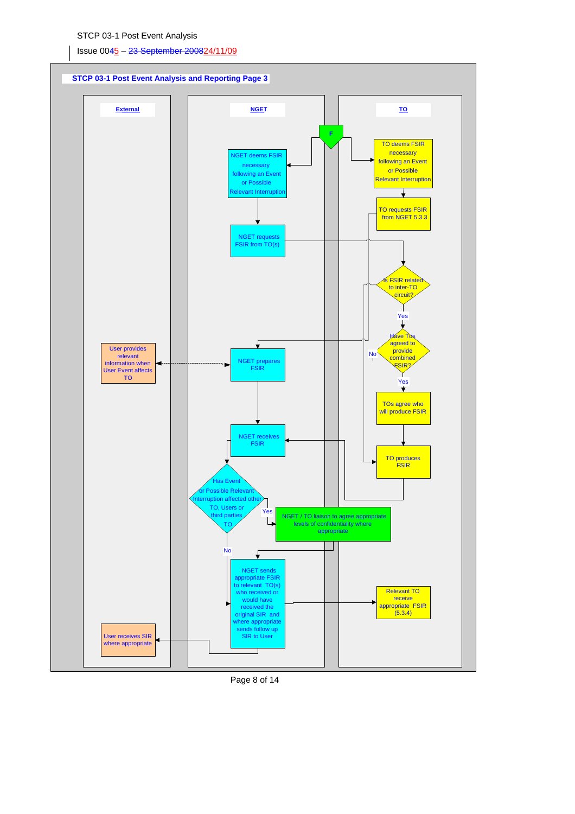

Page 8 of 14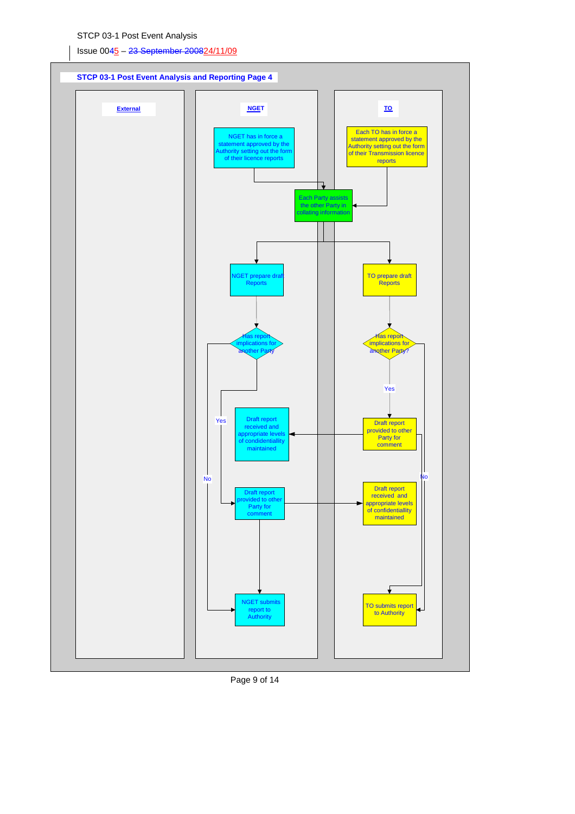



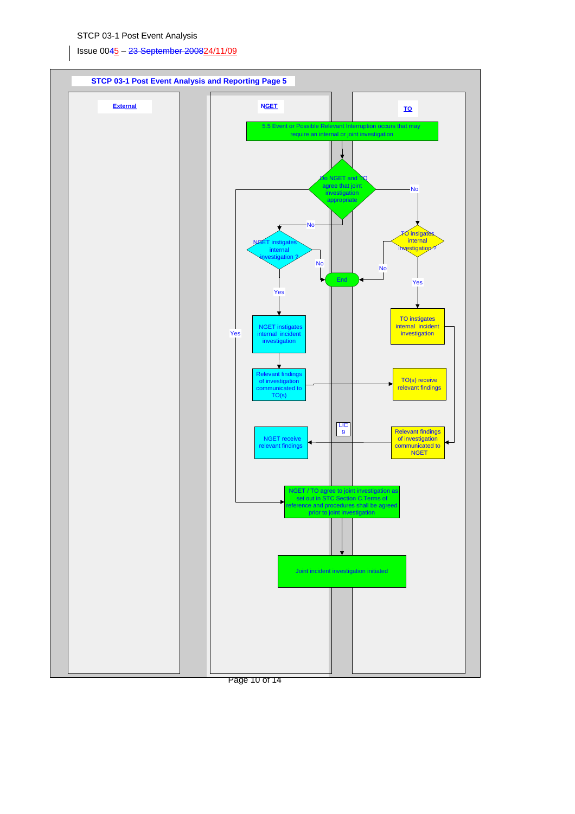Issue 0045 – 23 September 200824/11/09



Page 10 of 14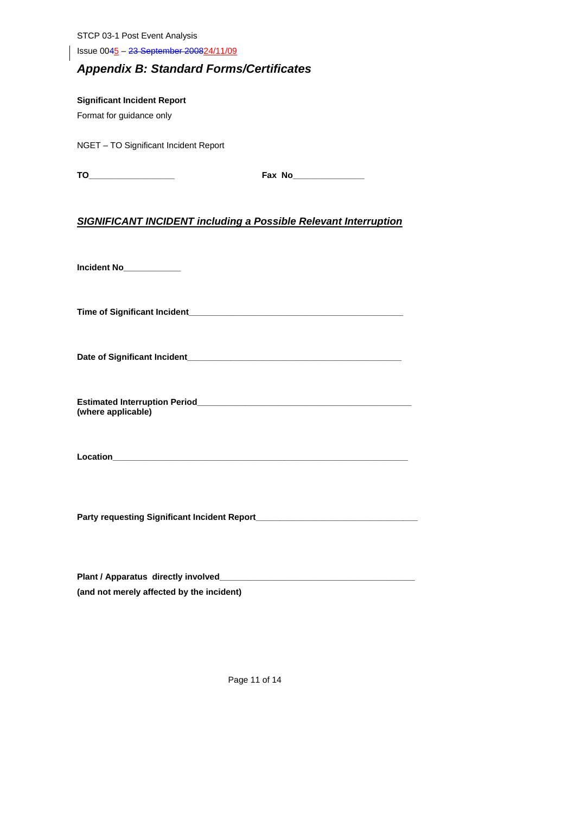Issue 0045 – 23 September 200824/11/09

## *Appendix B: Standard Forms/Certificates*

**Significant Incident Report**  Format for guidance only

NGET – TO Significant Incident Report

| × |  |  |
|---|--|--|
|   |  |  |

| --<br>тι | -NP<br>$\mathbf{u}$<br>. |
|----------|--------------------------|
|----------|--------------------------|

## *SIGNIFICANT INCIDENT including a Possible Relevant Interruption*

**Incident No\_\_\_\_\_\_\_\_\_\_\_\_** 

**Time of Significant Incident\_\_\_\_\_\_\_\_\_\_\_\_\_\_\_\_\_\_\_\_\_\_\_\_\_\_\_\_\_\_\_\_\_\_\_\_\_\_\_\_\_\_\_\_\_** 

**Date of Significant Incident\_\_\_\_\_\_\_\_\_\_\_\_\_\_\_\_\_\_\_\_\_\_\_\_\_\_\_\_\_\_\_\_\_\_\_\_\_\_\_\_\_\_\_\_\_** 

**Estimated Interruption Period\_\_\_\_ (where applicable)** 

**Location\_\_\_\_\_\_\_\_\_\_\_\_\_\_\_\_\_\_\_\_\_\_\_\_\_\_\_\_\_\_\_\_\_\_\_\_\_\_\_\_\_\_\_\_\_\_\_\_\_\_\_\_\_\_\_\_\_\_\_\_\_\_** 

**Party requesting Significant Incident Report\_\_\_\_\_\_\_\_\_\_\_\_\_\_\_\_\_\_\_\_\_\_\_\_\_\_\_\_\_\_\_\_\_\_** 

| Plant / Apparatus directly involved       |
|-------------------------------------------|
| (and not merely affected by the incident) |

Page 11 of 14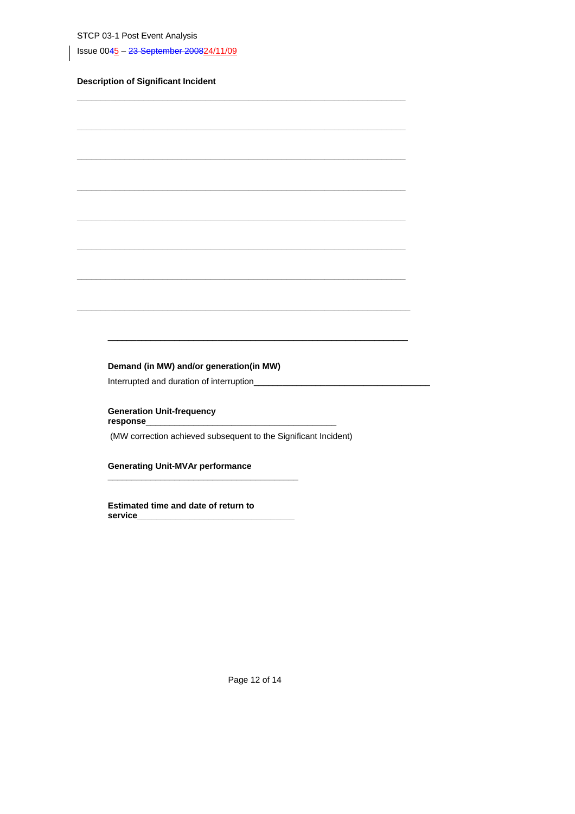Issue 0045 - 23 September 200824/11/09

## **Description of Significant Incident**

## Demand (in MW) and/or generation(in MW)

Interrupted and duration of interruption\_

**Generation Unit-frequency** response

(MW correction achieved subsequent to the Significant Incident)

**Generating Unit-MVAr performance** 

Estimated time and date of return to service\_

Page 12 of 14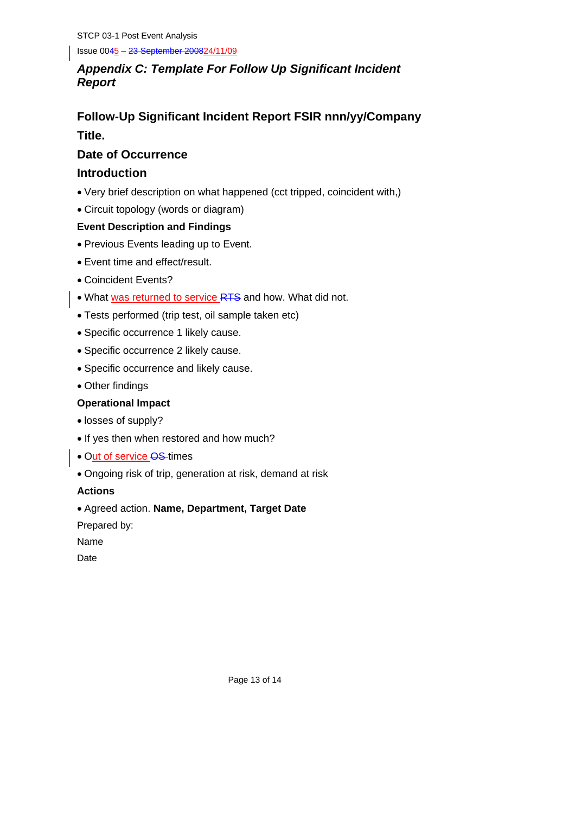Issue 0045 – 23 September 200824/11/09

## *Appendix C: Template For Follow Up Significant Incident Report*

## **Follow-Up Significant Incident Report FSIR nnn/yy/Company Title.**

## **Date of Occurrence**

## **Introduction**

- Very brief description on what happened (cct tripped, coincident with,)
- Circuit topology (words or diagram)

## **Event Description and Findings**

- Previous Events leading up to Event.
- Event time and effect/result.
- Coincident Events?
- What was returned to service RTS and how. What did not.
- Tests performed (trip test, oil sample taken etc)
- Specific occurrence 1 likely cause.
- Specific occurrence 2 likely cause.
- Specific occurrence and likely cause.
- Other findings

## **Operational Impact**

- losses of supply?
- If yes then when restored and how much?
- Out of service OS-times
- Ongoing risk of trip, generation at risk, demand at risk

**Actions** 

• Agreed action. **Name, Department, Target Date** 

Prepared by:

Name

**Date**